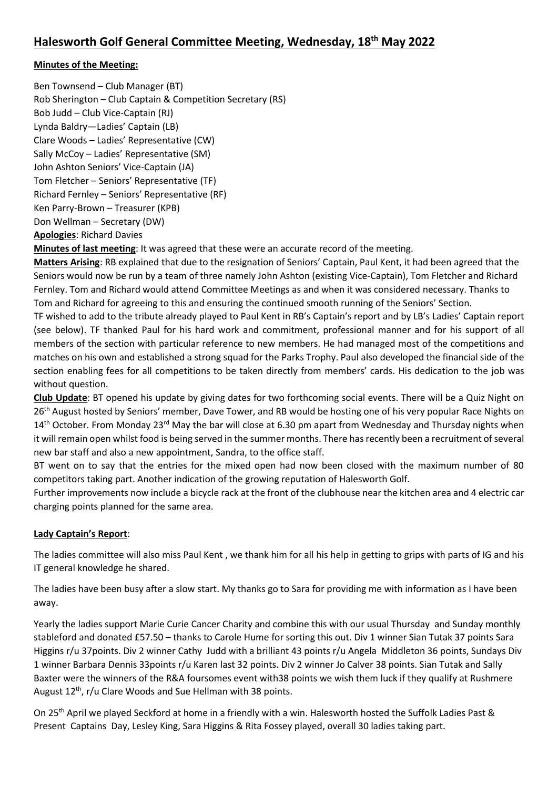# **Minutes of the Meeting:**

Ben Townsend – Club Manager (BT) Rob Sherington – Club Captain & Competition Secretary (RS) Bob Judd – Club Vice-Captain (RJ) Lynda Baldry—Ladies' Captain (LB) Clare Woods – Ladies' Representative (CW) Sally McCoy – Ladies' Representative (SM) John Ashton Seniors' Vice-Captain (JA) Tom Fletcher – Seniors' Representative (TF) Richard Fernley – Seniors' Representative (RF) Ken Parry-Brown – Treasurer (KPB) Don Wellman – Secretary (DW) **Apologies**: Richard Davies

**Minutes of last meeting**: It was agreed that these were an accurate record of the meeting.

**Matters Arising**: RB explained that due to the resignation of Seniors' Captain, Paul Kent, it had been agreed that the Seniors would now be run by a team of three namely John Ashton (existing Vice-Captain), Tom Fletcher and Richard Fernley. Tom and Richard would attend Committee Meetings as and when it was considered necessary. Thanks to Tom and Richard for agreeing to this and ensuring the continued smooth running of the Seniors' Section.

TF wished to add to the tribute already played to Paul Kent in RB's Captain's report and by LB's Ladies' Captain report (see below). TF thanked Paul for his hard work and commitment, professional manner and for his support of all members of the section with particular reference to new members. He had managed most of the competitions and matches on his own and established a strong squad for the Parks Trophy. Paul also developed the financial side of the section enabling fees for all competitions to be taken directly from members' cards. His dedication to the job was without question.

**Club Update**: BT opened his update by giving dates for two forthcoming social events. There will be a Quiz Night on 26<sup>th</sup> August hosted by Seniors' member, Dave Tower, and RB would be hosting one of his very popular Race Nights on 14<sup>th</sup> October. From Monday 23<sup>rd</sup> May the bar will close at 6.30 pm apart from Wednesday and Thursday nights when it will remain open whilst food is being served in the summer months. There has recently been a recruitment of several new bar staff and also a new appointment, Sandra, to the office staff.

BT went on to say that the entries for the mixed open had now been closed with the maximum number of 80 competitors taking part. Another indication of the growing reputation of Halesworth Golf.

Further improvements now include a bicycle rack at the front of the clubhouse near the kitchen area and 4 electric car charging points planned for the same area.

# **Lady Captain's Report**:

The ladies committee will also miss Paul Kent , we thank him for all his help in getting to grips with parts of IG and his IT general knowledge he shared.

The ladies have been busy after a slow start. My thanks go to Sara for providing me with information as I have been away.

Yearly the ladies support Marie Curie Cancer Charity and combine this with our usual Thursday and Sunday monthly stableford and donated £57.50 – thanks to Carole Hume for sorting this out. Div 1 winner Sian Tutak 37 points Sara Higgins r/u 37points. Div 2 winner Cathy Judd with a brilliant 43 points r/u Angela Middleton 36 points, Sundays Div 1 winner Barbara Dennis 33points r/u Karen last 32 points. Div 2 winner Jo Calver 38 points. Sian Tutak and Sally Baxter were the winners of the R&A foursomes event with38 points we wish them luck if they qualify at Rushmere August 12<sup>th</sup>, r/u Clare Woods and Sue Hellman with 38 points.

On 25<sup>th</sup> April we played Seckford at home in a friendly with a win. Halesworth hosted the Suffolk Ladies Past & Present Captains Day, Lesley King, Sara Higgins & Rita Fossey played, overall 30 ladies taking part.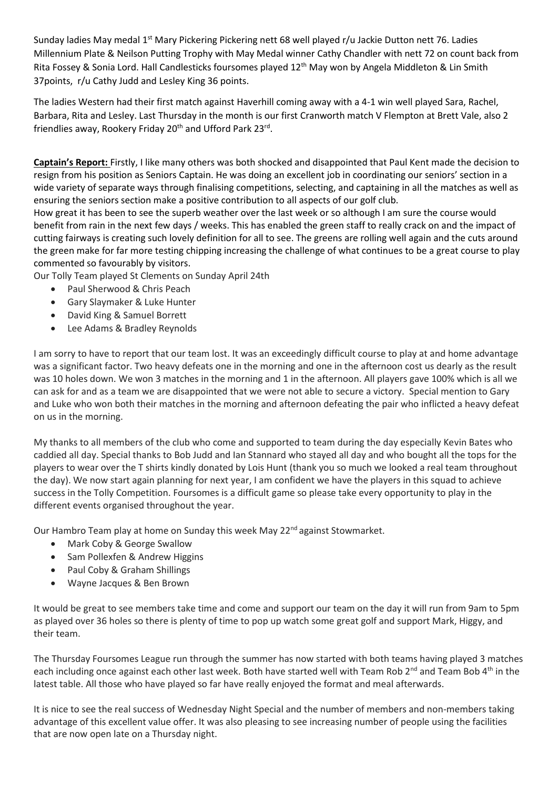Sunday ladies May medal 1<sup>st</sup> Mary Pickering Pickering nett 68 well played r/u Jackie Dutton nett 76. Ladies Millennium Plate & Neilson Putting Trophy with May Medal winner Cathy Chandler with nett 72 on count back from Rita Fossey & Sonia Lord. Hall Candlesticks foursomes played 12<sup>th</sup> May won by Angela Middleton & Lin Smith 37points, r/u Cathy Judd and Lesley King 36 points.

The ladies Western had their first match against Haverhill coming away with a 4-1 win well played Sara, Rachel, Barbara, Rita and Lesley. Last Thursday in the month is our first Cranworth match V Flempton at Brett Vale, also 2 friendlies away, Rookery Friday 20<sup>th</sup> and Ufford Park 23<sup>rd</sup>.

**Captain's Report:** Firstly, I like many others was both shocked and disappointed that Paul Kent made the decision to resign from his position as Seniors Captain. He was doing an excellent job in coordinating our seniors' section in a wide variety of separate ways through finalising competitions, selecting, and captaining in all the matches as well as ensuring the seniors section make a positive contribution to all aspects of our golf club.

How great it has been to see the superb weather over the last week or so although I am sure the course would benefit from rain in the next few days / weeks. This has enabled the green staff to really crack on and the impact of cutting fairways is creating such lovely definition for all to see. The greens are rolling well again and the cuts around the green make for far more testing chipping increasing the challenge of what continues to be a great course to play commented so favourably by visitors.

Our Tolly Team played St Clements on Sunday April 24th

- Paul Sherwood & Chris Peach
- Gary Slaymaker & Luke Hunter
- David King & Samuel Borrett
- Lee Adams & Bradley Reynolds

I am sorry to have to report that our team lost. It was an exceedingly difficult course to play at and home advantage was a significant factor. Two heavy defeats one in the morning and one in the afternoon cost us dearly as the result was 10 holes down. We won 3 matches in the morning and 1 in the afternoon. All players gave 100% which is all we can ask for and as a team we are disappointed that we were not able to secure a victory. Special mention to Gary and Luke who won both their matches in the morning and afternoon defeating the pair who inflicted a heavy defeat on us in the morning.

My thanks to all members of the club who come and supported to team during the day especially Kevin Bates who caddied all day. Special thanks to Bob Judd and Ian Stannard who stayed all day and who bought all the tops for the players to wear over the T shirts kindly donated by Lois Hunt (thank you so much we looked a real team throughout the day). We now start again planning for next year, I am confident we have the players in this squad to achieve success in the Tolly Competition. Foursomes is a difficult game so please take every opportunity to play in the different events organised throughout the year.

Our Hambro Team play at home on Sunday this week May 22<sup>nd</sup> against Stowmarket.

- Mark Coby & George Swallow
- Sam Pollexfen & Andrew Higgins
- Paul Coby & Graham Shillings
- Wayne Jacques & Ben Brown

It would be great to see members take time and come and support our team on the day it will run from 9am to 5pm as played over 36 holes so there is plenty of time to pop up watch some great golf and support Mark, Higgy, and their team.

The Thursday Foursomes League run through the summer has now started with both teams having played 3 matches each including once against each other last week. Both have started well with Team Rob 2<sup>nd</sup> and Team Bob 4<sup>th</sup> in the latest table. All those who have played so far have really enjoyed the format and meal afterwards.

It is nice to see the real success of Wednesday Night Special and the number of members and non-members taking advantage of this excellent value offer. It was also pleasing to see increasing number of people using the facilities that are now open late on a Thursday night.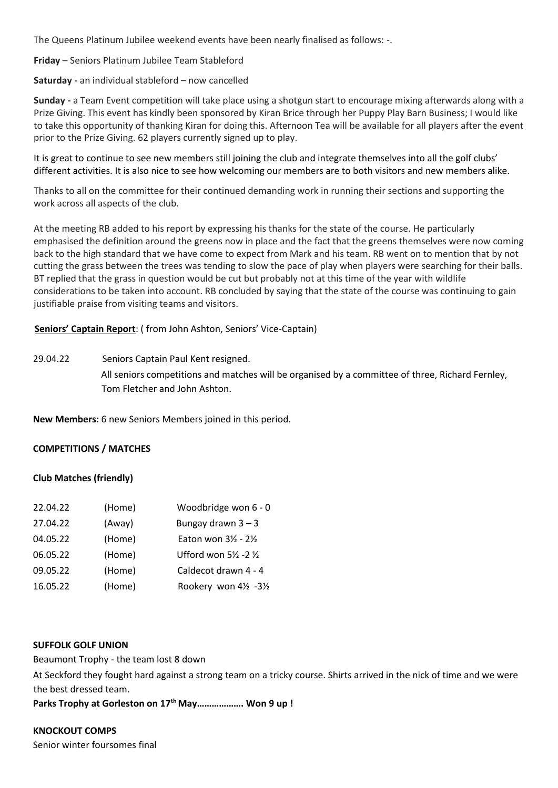The Queens Platinum Jubilee weekend events have been nearly finalised as follows: -.

**Friday** – Seniors Platinum Jubilee Team Stableford

**Saturday -** an individual stableford – now cancelled

**Sunday -** a Team Event competition will take place using a shotgun start to encourage mixing afterwards along with a Prize Giving. This event has kindly been sponsored by Kiran Brice through her Puppy Play Barn Business; I would like to take this opportunity of thanking Kiran for doing this. Afternoon Tea will be available for all players after the event prior to the Prize Giving. 62 players currently signed up to play.

It is great to continue to see new members still joining the club and integrate themselves into all the golf clubs' different activities. It is also nice to see how welcoming our members are to both visitors and new members alike.

Thanks to all on the committee for their continued demanding work in running their sections and supporting the work across all aspects of the club.

At the meeting RB added to his report by expressing his thanks for the state of the course. He particularly emphasised the definition around the greens now in place and the fact that the greens themselves were now coming back to the high standard that we have come to expect from Mark and his team. RB went on to mention that by not cutting the grass between the trees was tending to slow the pace of play when players were searching for their balls. BT replied that the grass in question would be cut but probably not at this time of the year with wildlife considerations to be taken into account. RB concluded by saying that the state of the course was continuing to gain justifiable praise from visiting teams and visitors.

**Seniors' Captain Report**: ( from John Ashton, Seniors' Vice-Captain)

29.04.22 Seniors Captain Paul Kent resigned.

All seniors competitions and matches will be organised by a committee of three, Richard Fernley, Tom Fletcher and John Ashton.

**New Members:** 6 new Seniors Members joined in this period.

### **COMPETITIONS / MATCHES**

### **Club Matches (friendly)**

| 22.04.22 | (Home) | Woodbridge won 6 - 0                       |
|----------|--------|--------------------------------------------|
| 27.04.22 | (Away) | Bungay drawn $3 - 3$                       |
| 04.05.22 | (Home) | Eaton won $3\frac{1}{2}$ - $2\frac{1}{2}$  |
| 06.05.22 | (Home) | Ufford won $5\frac{1}{2}$ -2 $\frac{1}{2}$ |
| 09.05.22 | (Home) | Caldecot drawn 4 - 4                       |
| 16.05.22 | (Home) | Rookery won 4½ -3½                         |

### **SUFFOLK GOLF UNION**

Beaumont Trophy - the team lost 8 down

At Seckford they fought hard against a strong team on a tricky course. Shirts arrived in the nick of time and we were the best dressed team.

**Parks Trophy at Gorleston on 17th May………………. Won 9 up !**

### **KNOCKOUT COMPS**

Senior winter foursomes final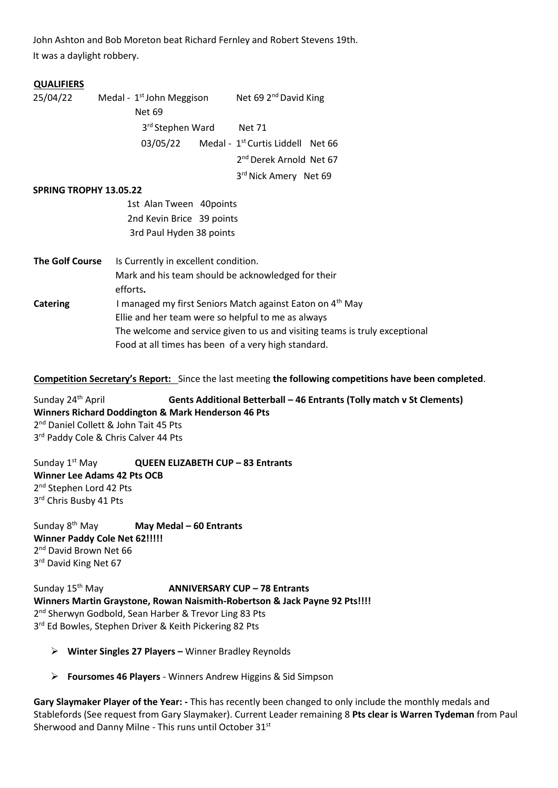John Ashton and Bob Moreton beat Richard Fernley and Robert Stevens 19th. It was a daylight robbery.

#### **QUALIFIERS**

 $25/04/22$  Medal - 1<sup>st</sup> John Meggison Net 69 2<sup>nd</sup> David King Net 69 3rd Stephen Ward Net 71 03/05/22 Medal -  $1<sup>st</sup>$  Curtis Liddell Net 66 2<sup>nd</sup> Derek Arnold Net 67 3 3rd Nick Amery Net 69 **SPRING TROPHY 13.05.22** 1st Alan Tween 40points 2nd Kevin Brice 39 points

3rd Paul Hyden 38 points

**The Golf Course** Is Currently in excellent condition. Mark and his team should be acknowledged for their efforts**. Catering I managed my first Seniors Match against Eaton on 4<sup>th</sup> May**  Ellie and her team were so helpful to me as always The welcome and service given to us and visiting teams is truly exceptional Food at all times has been of a very high standard.

### **Competition Secretary's Report:** Since the last meeting **the following competitions have been completed**.

Sunday 24th April **Gents Additional Betterball – 46 Entrants (Tolly match v St Clements) Winners Richard Doddington & Mark Henderson 46 Pts**  2<sup>nd</sup> Daniel Collett & John Tait 45 Pts 3rd Paddy Cole & Chris Calver 44 Pts

Sunday 1st May **QUEEN ELIZABETH CUP – 83 Entrants Winner Lee Adams 42 Pts OCB** 2<sup>nd</sup> Stephen Lord 42 Pts 3<sup>rd</sup> Chris Busby 41 Pts

Sunday 8th May **May Medal – 60 Entrants Winner Paddy Cole Net 62!!!!!** 2<sup>nd</sup> David Brown Net 66 3<sup>rd</sup> David King Net 67

Sunday 15th May **ANNIVERSARY CUP – 78 Entrants Winners Martin Graystone, Rowan Naismith-Robertson & Jack Payne 92 Pts!!!!** 2<sup>nd</sup> Sherwyn Godbold, Sean Harber & Trevor Ling 83 Pts 3<sup>rd</sup> Ed Bowles, Stephen Driver & Keith Pickering 82 Pts

- ➢ **Winter Singles 27 Players –** Winner Bradley Reynolds
- ➢ **Foursomes 46 Players** Winners Andrew Higgins & Sid Simpson

**Gary Slaymaker Player of the Year: -** This has recently been changed to only include the monthly medals and Stablefords (See request from Gary Slaymaker). Current Leader remaining 8 **Pts clear is Warren Tydeman** from Paul Sherwood and Danny Milne - This runs until October 31st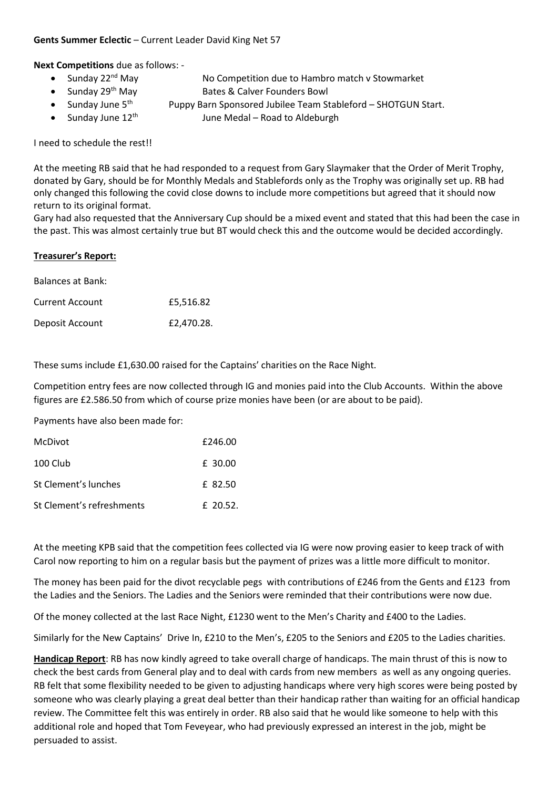### **Gents Summer Eclectic** – Current Leader David King Net 57

**Next Competitions** due as follows: -

- Sunday 22<sup>nd</sup> May No Competition due to Hambro match y Stowmarket
- Sunday 29<sup>th</sup> May Bates & Calver Founders Bowl
- Sunday June  $5<sup>th</sup>$  Puppy Barn Sponsored Jubilee Team Stableford SHOTGUN Start.
- Sunday June  $12<sup>th</sup>$  June Medal Road to Aldeburgh

I need to schedule the rest!!

At the meeting RB said that he had responded to a request from Gary Slaymaker that the Order of Merit Trophy, donated by Gary, should be for Monthly Medals and Stablefords only as the Trophy was originally set up. RB had only changed this following the covid close downs to include more competitions but agreed that it should now return to its original format.

Gary had also requested that the Anniversary Cup should be a mixed event and stated that this had been the case in the past. This was almost certainly true but BT would check this and the outcome would be decided accordingly.

### **Treasurer's Report:**

| <b>Balances at Bank:</b> |            |
|--------------------------|------------|
| <b>Current Account</b>   | £5.516.82  |
| Deposit Account          | £2,470.28. |

These sums include £1,630.00 raised for the Captains' charities on the Race Night.

Competition entry fees are now collected through IG and monies paid into the Club Accounts. Within the above figures are £2.586.50 from which of course prize monies have been (or are about to be paid).

Payments have also been made for:

| McDivot                   | £246.00    |
|---------------------------|------------|
| 100 Club                  | £ 30.00    |
| St Clement's lunches      | £ 82.50    |
| St Clement's refreshments | $f$ 20.52. |

At the meeting KPB said that the competition fees collected via IG were now proving easier to keep track of with Carol now reporting to him on a regular basis but the payment of prizes was a little more difficult to monitor.

The money has been paid for the divot recyclable pegs with contributions of £246 from the Gents and £123 from the Ladies and the Seniors. The Ladies and the Seniors were reminded that their contributions were now due.

Of the money collected at the last Race Night, £1230 went to the Men's Charity and £400 to the Ladies.

Similarly for the New Captains' Drive In, £210 to the Men's, £205 to the Seniors and £205 to the Ladies charities.

**Handicap Report**: RB has now kindly agreed to take overall charge of handicaps. The main thrust of this is now to check the best cards from General play and to deal with cards from new members as well as any ongoing queries. RB felt that some flexibility needed to be given to adjusting handicaps where very high scores were being posted by someone who was clearly playing a great deal better than their handicap rather than waiting for an official handicap review. The Committee felt this was entirely in order. RB also said that he would like someone to help with this additional role and hoped that Tom Feveyear, who had previously expressed an interest in the job, might be persuaded to assist.